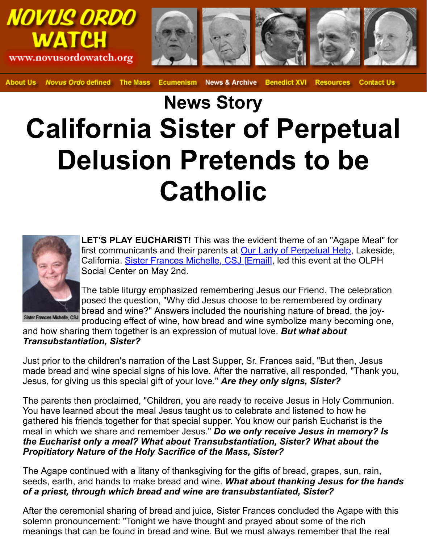## **News Story California Sister of Perpe Delusion Pretends to be Catholic**



**LET'S PLAY EUCHARIST!** This was the evident theme of an "Agape Meal" for Magape Meal first communicants and their parents at Our Lady of Perpetual Help California. Sister Frances Michelle, CSJ [Email], led this event at the Social Center on May 2nd.

The table liturgy emphasized remembering Jesus our Friend. The posed the question, "Why did Jesus choose to be remembered by bread and wine?" Answers included the nourishing nature of bread producing effect of wine, how bread and wine symbolize many becoming only only and wine and wine symbolize many

and how sharing them together is an expression of mutual love. *But what about Transubstantiation, Sister?*

Just prior to the children'[s narration of the Last Supper, Sr. Fra](mailto:srfrances@olphchurch.org)nces said, "But the made bread and wine special signs of his love. After the narrative, all responded, Jesus, for giving us this special gift of your love." *Are they only signs, Sister?*

The parents then proclaimed, "Children, you are ready to receive Jesus in Holy C You have learned about the meal Jesus taught us to celebrate and listened to how gathered his friends together for that special supper. You know our parish Euchar meal in which we share and remember Jesus." **Do we only receive Jesus in me** *the Eucharist only a meal? What about Transubstantiation, Sister? What ab Propitiatory Nature of the Holy Sacrifice of the Mass, Sister?*

The Agape continued with a litany of thanksgiving for the gifts of bread, grapes, s seeds, earth, and hands to make bread and wine. What about thanking Jesus i *of a priest, through which bread and wine are transubstantiated, Sister?*

After the ceremonial sharing of bread and juice, Sister Frances concluded the Ag solemn pronouncement: "Tonight we have thought and prayed about some of the meanings that can be found in bread and wine. But we must always remember the real